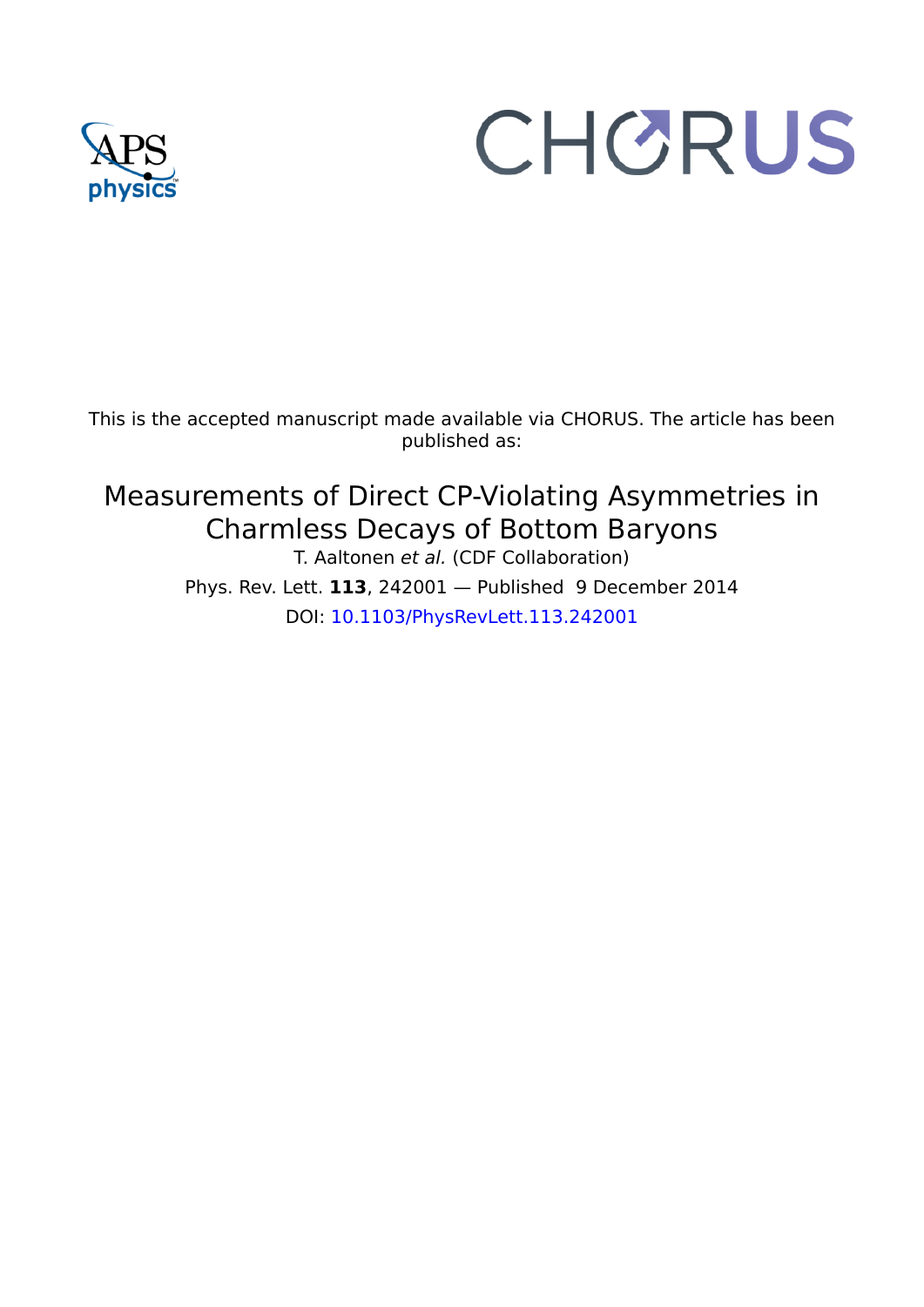## CHORUS

This is the accepted manuscript made available via CHORUS. The article has been published as:

## Measurements of Direct CP-Violating Asymmetries in Charmless Decays of Bottom Baryons

T. Aaltonen *et al.* (CDF Collaboration) Phys. Rev. Lett. **113**, 242001 — Published 9 December 2014 DOI: 10.1103/PhysRevLett.113.242001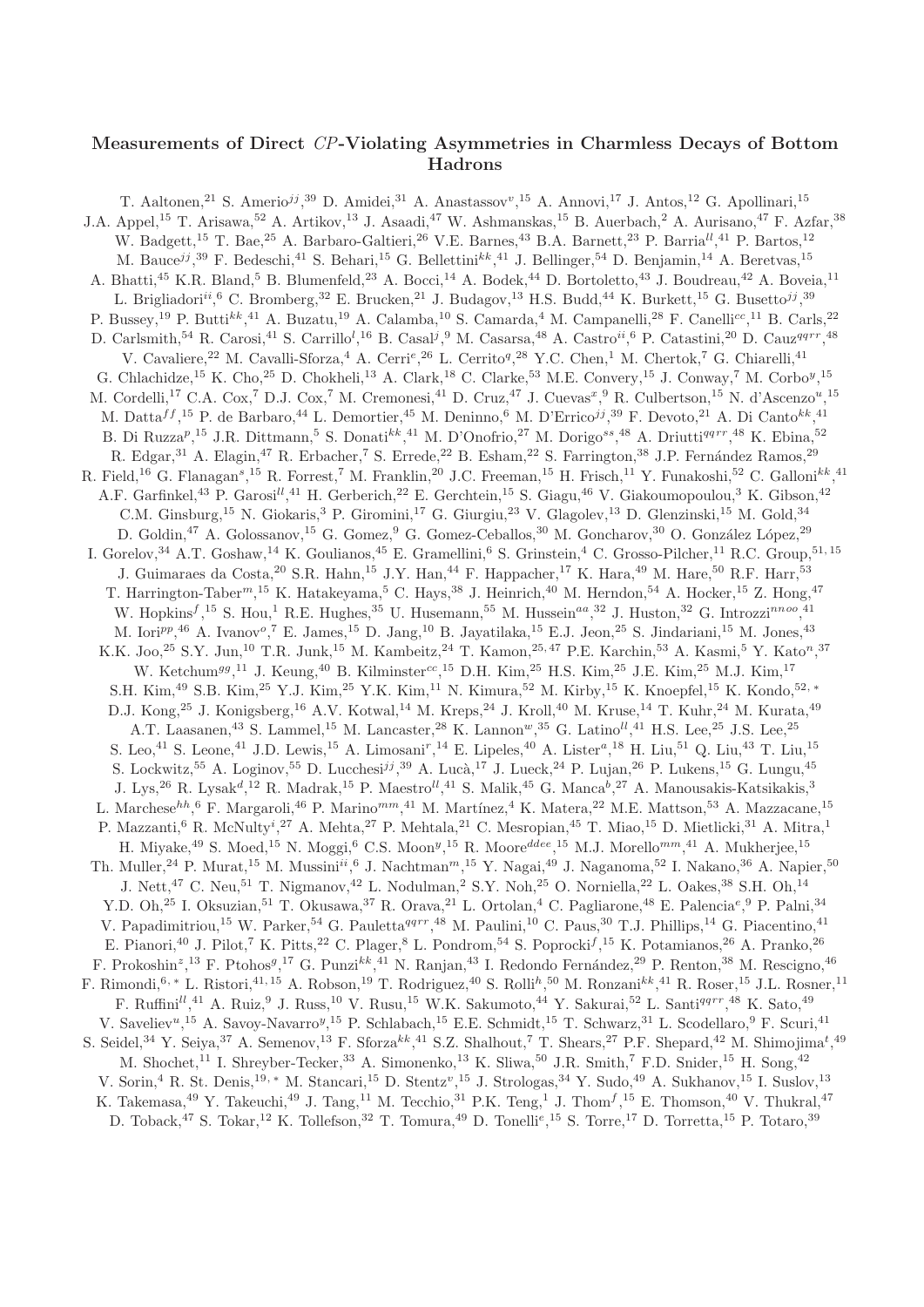## Measurements of Direct CP-Violating Asymmetries in Charmless Decays of Bottom Hadrons

T. Aaltonen,<sup>21</sup> S. Amerio<sup>jj</sup>,<sup>39</sup> D. Amidei,<sup>31</sup> A. Anastassov<sup>v</sup>,<sup>15</sup> A. Annovi,<sup>17</sup> J. Antos,<sup>12</sup> G. Apollinari,<sup>15</sup> J.A. Appel,<sup>15</sup> T. Arisawa,<sup>52</sup> A. Artikov,<sup>13</sup> J. Asaadi,<sup>47</sup> W. Ashmanskas,<sup>15</sup> B. Auerbach,<sup>2</sup> A. Aurisano,<sup>47</sup> F. Azfar,<sup>38</sup> W. Badgett,<sup>15</sup> T. Bae,<sup>25</sup> A. Barbaro-Galtieri,<sup>26</sup> V.E. Barnes,<sup>43</sup> B.A. Barnett,<sup>23</sup> P. Barria<sup>ll</sup>,<sup>41</sup> P. Bartos,<sup>12</sup> M. Bauce<sup>jj</sup>,<sup>39</sup> F. Bedeschi,<sup>41</sup> S. Behari,<sup>15</sup> G. Bellettini<sup>kk</sup>,<sup>41</sup> J. Bellinger,<sup>54</sup> D. Benjamin,<sup>14</sup> A. Beretvas,<sup>15</sup> A. Bhatti,<sup>45</sup> K.R. Bland,<sup>5</sup> B. Blumenfeld,<sup>23</sup> A. Bocci,<sup>14</sup> A. Bodek,<sup>44</sup> D. Bortoletto,<sup>43</sup> J. Boudreau,<sup>42</sup> A. Boveia,<sup>11</sup> L. Brigliadori<sup>ii</sup>, <sup>6</sup> C. Bromberg, <sup>32</sup> E. Brucken, <sup>21</sup> J. Budagov, <sup>13</sup> H.S. Budd, <sup>44</sup> K. Burkett, <sup>15</sup> G. Busetto<sup>jj</sup>, <sup>39</sup> P. Bussey,<sup>19</sup> P. Butti<sup>kk</sup>,<sup>41</sup> A. Buzatu,<sup>19</sup> A. Calamba,<sup>10</sup> S. Camarda,<sup>4</sup> M. Campanelli,<sup>28</sup> F. Canelli<sup>cc</sup>,<sup>11</sup> B. Carls,<sup>22</sup> D. Carlsmith,<sup>54</sup> R. Carosi,<sup>41</sup> S. Carrillo<sup>l</sup>,<sup>16</sup> B. Casal<sup>j</sup>,<sup>9</sup> M. Casarsa,<sup>48</sup> A. Castro<sup>ii</sup>,<sup>6</sup> P. Catastini,<sup>20</sup> D. Cauz<sup>qqrr</sup>,<sup>48</sup> V. Cavaliere,<sup>22</sup> M. Cavalli-Sforza,<sup>4</sup> A. Cerri<sup>e</sup>,<sup>26</sup> L. Cerrito<sup>q</sup>,<sup>28</sup> Y.C. Chen,<sup>1</sup> M. Chertok,<sup>7</sup> G. Chiarelli,<sup>41</sup> G. Chlachidze,<sup>15</sup> K. Cho,<sup>25</sup> D. Chokheli,<sup>13</sup> A. Clark,<sup>18</sup> C. Clarke,<sup>53</sup> M.E. Convery,<sup>15</sup> J. Conway,<sup>7</sup> M. Corbo<sup>y</sup>,<sup>15</sup> M. Cordelli,<sup>17</sup> C.A. Cox,<sup>7</sup> D.J. Cox,<sup>7</sup> M. Cremonesi,<sup>41</sup> D. Cruz,<sup>47</sup> J. Cuevas<sup>x</sup>,<sup>9</sup> R. Culbertson,<sup>15</sup> N. d'Ascenzo<sup>u</sup>,<sup>15</sup> M. Datta $^{ff}$ ,<sup>15</sup> P. de Barbaro,<sup>44</sup> L. Demortier,<sup>45</sup> M. Deninno,<sup>6</sup> M. D'Errico<sup>jj</sup>,<sup>39</sup> F. Devoto,<sup>21</sup> A. Di Canto<sup>kk</sup>,<sup>41</sup> B. Di Ruzza<sup>p</sup>,<sup>15</sup> J.R. Dittmann,<sup>5</sup> S. Donati<sup>kk</sup>,<sup>41</sup> M. D'Onofrio,<sup>27</sup> M. Dorigo<sup>ss</sup>,<sup>48</sup> A. Driutti<sup>qqrr</sup>,<sup>48</sup> K. Ebina,<sup>52</sup> R. Edgar,<sup>31</sup> A. Elagin,<sup>47</sup> R. Erbacher,<sup>7</sup> S. Errede,<sup>22</sup> B. Esham,<sup>22</sup> S. Farrington,<sup>38</sup> J.P. Fernández Ramos,<sup>29</sup> R. Field,<sup>16</sup> G. Flanagan<sup>s</sup>,<sup>15</sup> R. Forrest,<sup>7</sup> M. Franklin,<sup>20</sup> J.C. Freeman,<sup>15</sup> H. Frisch,<sup>11</sup> Y. Funakoshi,<sup>52</sup> C. Galloni<sup>kk</sup>,<sup>41</sup> A.F. Garfinkel,<sup>43</sup> P. Garosi<sup>ll</sup>,<sup>41</sup> H. Gerberich,<sup>22</sup> E. Gerchtein,<sup>15</sup> S. Giagu,<sup>46</sup> V. Giakoumopoulou,<sup>3</sup> K. Gibson,<sup>42</sup> C.M. Ginsburg,<sup>15</sup> N. Giokaris,<sup>3</sup> P. Giromini,<sup>17</sup> G. Giurgiu,<sup>23</sup> V. Glagolev,<sup>13</sup> D. Glenzinski,<sup>15</sup> M. Gold,<sup>34</sup> D. Goldin,<sup>47</sup> A. Golossanov,<sup>15</sup> G. Gomez,<sup>9</sup> G. Gomez-Ceballos,<sup>30</sup> M. Goncharov,<sup>30</sup> O. González López,<sup>29</sup> I. Gorelov,<sup>34</sup> A.T. Goshaw,<sup>14</sup> K. Goulianos,<sup>45</sup> E. Gramellini,<sup>6</sup> S. Grinstein,<sup>4</sup> C. Grosso-Pilcher,<sup>11</sup> R.C. Group,<sup>51, 15</sup> J. Guimaraes da Costa, <sup>20</sup> S.R. Hahn, <sup>15</sup> J.Y. Han, <sup>44</sup> F. Happacher, <sup>17</sup> K. Hara, <sup>49</sup> M. Hare, <sup>50</sup> R.F. Harr, <sup>53</sup> T. Harrington-Taber<sup>m</sup>,<sup>15</sup> K. Hatakeyama,<sup>5</sup> C. Hays,<sup>38</sup> J. Heinrich,<sup>40</sup> M. Herndon,<sup>54</sup> A. Hocker,<sup>15</sup> Z. Hong,<sup>47</sup> W. Hopkins<sup>f</sup>,<sup>15</sup> S. Hou,<sup>1</sup> R.E. Hughes,<sup>35</sup> U. Husemann,<sup>55</sup> M. Hussein<sup>aa</sup>,<sup>32</sup> J. Huston,<sup>32</sup> G. Introzzi<sup>nnoo</sup>,<sup>41</sup> M. Iori<sup>pp</sup>,<sup>46</sup> A. Ivanov<sup>o</sup>,<sup>7</sup> E. James,<sup>15</sup> D. Jang,<sup>10</sup> B. Jayatilaka,<sup>15</sup> E.J. Jeon,<sup>25</sup> S. Jindariani,<sup>15</sup> M. Jones,<sup>43</sup> K.K. Joo,<sup>25</sup> S.Y. Jun,<sup>10</sup> T.R. Junk,<sup>15</sup> M. Kambeitz,<sup>24</sup> T. Kamon,<sup>25,47</sup> P.E. Karchin,<sup>53</sup> A. Kasmi,<sup>5</sup> Y. Kato<sup>n</sup>,<sup>37</sup> W. Ketchum<sup>gg</sup>,<sup>11</sup> J. Keung,<sup>40</sup> B. Kilminster<sup>cc</sup>,<sup>15</sup> D.H. Kim,<sup>25</sup> H.S. Kim,<sup>25</sup> J.E. Kim,<sup>25</sup> M.J. Kim,<sup>17</sup> S.H. Kim,<sup>49</sup> S.B. Kim,<sup>25</sup> Y.J. Kim,<sup>25</sup> Y.K. Kim,<sup>11</sup> N. Kimura,<sup>52</sup> M. Kirby,<sup>15</sup> K. Knoepfel,<sup>15</sup> K. Kondo,<sup>52,</sup> ∗ D.J. Kong,<sup>25</sup> J. Konigsberg,<sup>16</sup> A.V. Kotwal,<sup>14</sup> M. Kreps,<sup>24</sup> J. Kroll,<sup>40</sup> M. Kruse,<sup>14</sup> T. Kuhr,<sup>24</sup> M. Kurata,<sup>49</sup> A.T. Laasanen,<sup>43</sup> S. Lammel,<sup>15</sup> M. Lancaster,<sup>28</sup> K. Lannon<sup>w</sup>,<sup>35</sup> G. Latino<sup>ll</sup>,<sup>41</sup> H.S. Lee,<sup>25</sup> J.S. Lee,<sup>25</sup> S. Leo,<sup>41</sup> S. Leone,<sup>41</sup> J.D. Lewis,<sup>15</sup> A. Limosani<sup>r</sup>,<sup>14</sup> E. Lipeles,<sup>40</sup> A. Lister<sup>a</sup>,<sup>18</sup> H. Liu,<sup>51</sup> Q. Liu,<sup>43</sup> T. Liu,<sup>15</sup> S. Lockwitz,<sup>55</sup> A. Loginov,<sup>55</sup> D. Lucchesi<sup>jj</sup>,<sup>39</sup> A. Lucà,<sup>17</sup> J. Lueck,<sup>24</sup> P. Lujan,<sup>26</sup> P. Lukens,<sup>15</sup> G. Lungu,<sup>45</sup> J. Lys,<sup>26</sup> R. Lysak<sup>d</sup>,<sup>12</sup> R. Madrak,<sup>15</sup> P. Maestro<sup>ll</sup>,<sup>41</sup> S. Malik,<sup>45</sup> G. Manca<sup>b</sup>,<sup>27</sup> A. Manousakis-Katsikakis,<sup>3</sup> L. Marchese<sup>hh</sup>, <sup>6</sup> F. Margaroli, <sup>46</sup> P. Marino<sup>mm</sup>, <sup>41</sup> M. Martínez, <sup>4</sup> K. Matera, <sup>22</sup> M.E. Mattson, <sup>53</sup> A. Mazzacane, <sup>15</sup> P. Mazzanti,<sup>6</sup> R. McNulty<sup>i</sup>,<sup>27</sup> A. Mehta,<sup>27</sup> P. Mehtala,<sup>21</sup> C. Mesropian,<sup>45</sup> T. Miao,<sup>15</sup> D. Mietlicki,<sup>31</sup> A. Mitra,<sup>1</sup> H. Miyake,<sup>49</sup> S. Moed,<sup>15</sup> N. Moggi,<sup>6</sup> C.S. Moon<sup>y</sup>,<sup>15</sup> R. Moore<sup>ddee</sup>,<sup>15</sup> M.J. Morello<sup>mm</sup>,<sup>41</sup> A. Mukherjee,<sup>15</sup> Th. Muller,<sup>24</sup> P. Murat,<sup>15</sup> M. Mussini<sup>ii</sup>,<sup>6</sup> J. Nachtman<sup>m</sup>,<sup>15</sup> Y. Nagai,<sup>49</sup> J. Naganoma,<sup>52</sup> I. Nakano,<sup>36</sup> A. Napier,<sup>50</sup> J. Nett,<sup>47</sup> C. Neu,<sup>51</sup> T. Nigmanov,<sup>42</sup> L. Nodulman,<sup>2</sup> S.Y. Noh,<sup>25</sup> O. Norniella,<sup>22</sup> L. Oakes,<sup>38</sup> S.H. Oh,<sup>14</sup> Y.D. Oh,<sup>25</sup> I. Oksuzian,<sup>51</sup> T. Okusawa,<sup>37</sup> R. Orava,<sup>21</sup> L. Ortolan,<sup>4</sup> C. Pagliarone,<sup>48</sup> E. Palencia<sup>e</sup>,<sup>9</sup> P. Palni,<sup>34</sup> V. Papadimitriou,<sup>15</sup> W. Parker,<sup>54</sup> G. Pauletta<sup>qqrr</sup>,<sup>48</sup> M. Paulini,<sup>10</sup> C. Paus,<sup>30</sup> T.J. Phillips,<sup>14</sup> G. Piacentino,<sup>41</sup> E. Pianori,<sup>40</sup> J. Pilot,<sup>7</sup> K. Pitts,<sup>22</sup> C. Plager,<sup>8</sup> L. Pondrom,<sup>54</sup> S. Poprocki<sup>f</sup>,<sup>15</sup> K. Potamianos,<sup>26</sup> A. Pranko,<sup>26</sup> F. Prokoshin<sup>z</sup>,<sup>13</sup> F. Ptohos<sup>g</sup>,<sup>17</sup> G. Punzi<sup>kk</sup>,<sup>41</sup> N. Ranjan,<sup>43</sup> I. Redondo Fernández,<sup>29</sup> P. Renton,<sup>38</sup> M. Rescigno,<sup>46</sup> F. Rimondi, 6, \* L. Ristori,  $4^{1,15}$  A. Robson,  $^{19}$  T. Rodriguez,  $^{40}$  S. Rolli<sup>h</sup>,  $^{50}$  M. Ronzani $^{kk}$ ,  $^{41}$  R. Roser,  $^{15}$  J.L. Rosner,  $^{11}$ F. Ruffini<sup>ll</sup>,<sup>41</sup> A. Ruiz,<sup>9</sup> J. Russ,<sup>10</sup> V. Rusu,<sup>15</sup> W.K. Sakumoto,<sup>44</sup> Y. Sakurai,<sup>52</sup> L. Santi<sup>qqrr</sup>,<sup>48</sup> K. Sato,<sup>49</sup> V. Saveliev<sup>u</sup>,<sup>15</sup> A. Savoy-Navarro<sup>y</sup>,<sup>15</sup> P. Schlabach,<sup>15</sup> E.E. Schmidt,<sup>15</sup> T. Schwarz,<sup>31</sup> L. Scodellaro,<sup>9</sup> F. Scuri,<sup>41</sup> S. Seidel,<sup>34</sup> Y. Seiya,<sup>37</sup> A. Semenov,<sup>13</sup> F. Sforza<sup>kk</sup>,<sup>41</sup> S.Z. Shalhout,<sup>7</sup> T. Shears,<sup>27</sup> P.F. Shepard,<sup>42</sup> M. Shimojima<sup>t</sup>,<sup>49</sup> M. Shochet,<sup>11</sup> I. Shreyber-Tecker,<sup>33</sup> A. Simonenko,<sup>13</sup> K. Sliwa,<sup>50</sup> J.R. Smith,<sup>7</sup> F.D. Snider,<sup>15</sup> H. Song,<sup>42</sup> V. Sorin,<sup>4</sup> R. St. Denis,<sup>19,\*</sup> M. Stancari,<sup>15</sup> D. Stentz<sup>v</sup>,<sup>15</sup> J. Strologas,<sup>34</sup> Y. Sudo,<sup>49</sup> A. Sukhanov,<sup>15</sup> I. Suslov,<sup>13</sup> K. Takemasa,<sup>49</sup> Y. Takeuchi,<sup>49</sup> J. Tang,<sup>11</sup> M. Tecchio,<sup>31</sup> P.K. Teng,<sup>1</sup> J. Thom<sup>f</sup>,<sup>15</sup> E. Thomson,<sup>40</sup> V. Thukral,<sup>47</sup> D. Toback,<sup>47</sup> S. Tokar,<sup>12</sup> K. Tollefson,<sup>32</sup> T. Tomura,<sup>49</sup> D. Tonelli<sup>e</sup>,<sup>15</sup> S. Torre,<sup>17</sup> D. Torretta,<sup>15</sup> P. Totaro,<sup>39</sup>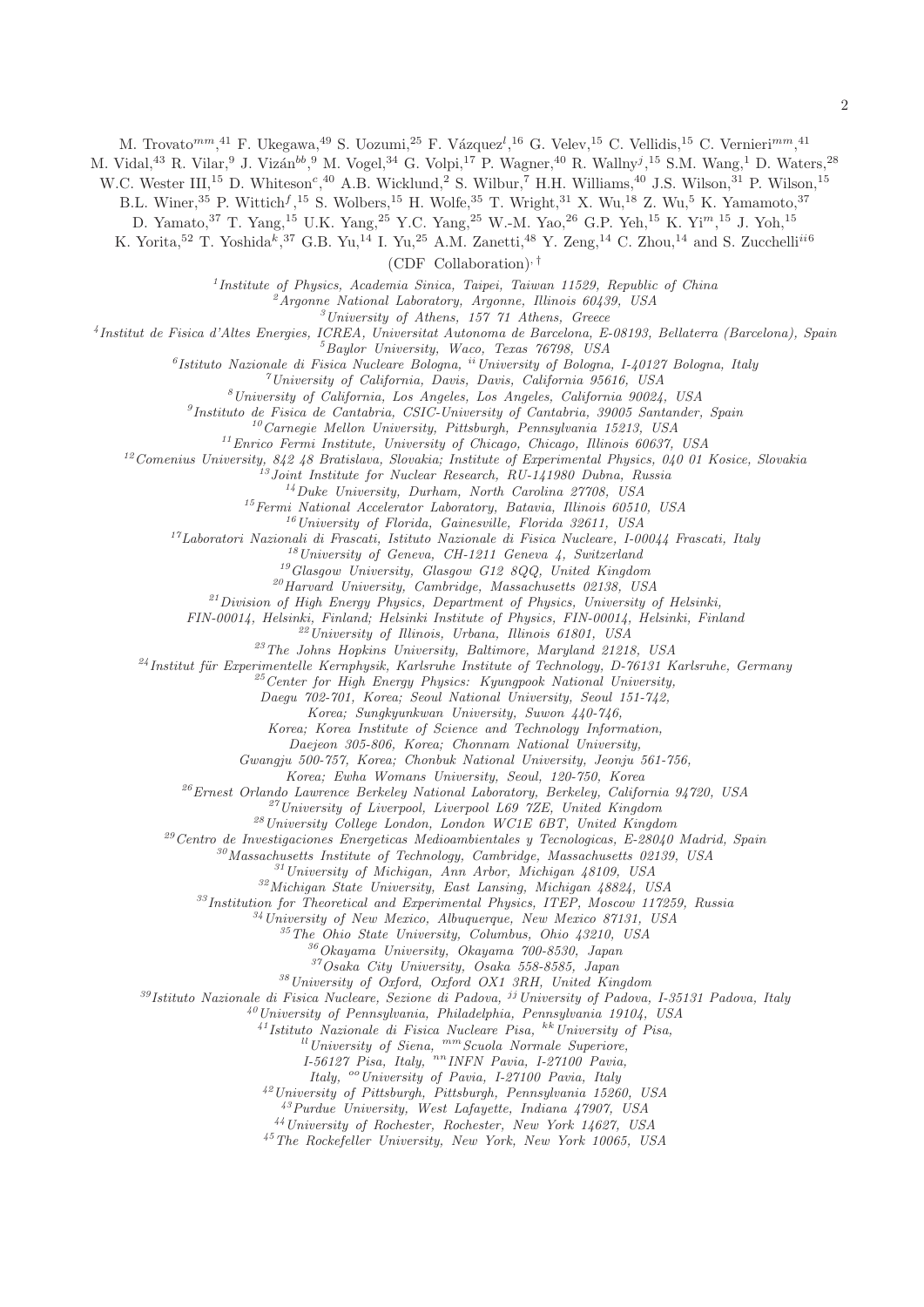M. Trovato<sup>mm</sup>,<sup>41</sup> F. Ukegawa,<sup>49</sup> S. Uozumi,<sup>25</sup> F. Vázquez<sup>l</sup>,<sup>16</sup> G. Velev,<sup>15</sup> C. Vellidis,<sup>15</sup> C. Vernieri<sup>mm</sup>,<sup>41</sup>

M. Vidal,<sup>43</sup> R. Vilar,<sup>9</sup> J. Vizán<sup>bb</sup>,<sup>9</sup> M. Vogel,<sup>34</sup> G. Volpi,<sup>17</sup> P. Wagner,<sup>40</sup> R. Wallny<sup>j</sup>,<sup>15</sup> S.M. Wang,<sup>1</sup> D. Waters,<sup>28</sup>

W.C. Wester III,<sup>15</sup> D. Whiteson<sup>c</sup>,<sup>40</sup> A.B. Wicklund,<sup>2</sup> S. Wilbur,<sup>7</sup> H.H. Williams,<sup>40</sup> J.S. Wilson,<sup>31</sup> P. Wilson,<sup>15</sup>

B.L. Winer,<sup>35</sup> P. Wittich<sup>f</sup>,<sup>15</sup> S. Wolbers,<sup>15</sup> H. Wolfe,<sup>35</sup> T. Wright,<sup>31</sup> X. Wu,<sup>18</sup> Z. Wu,<sup>5</sup> K. Yamamoto,<sup>37</sup>

D. Yamato,  $37$  T. Yang,  $15$  U.K. Yang,  $25$  Y.C. Yang,  $25$  W.-M. Yao,  $26$  G.P. Yeh,  $15$  K. Yi<sup>m</sup>,  $15$  J. Yoh,  $15$ 

K. Yorita,<sup>52</sup> T. Yoshida<sup>k</sup>,<sup>37</sup> G.B. Yu,<sup>14</sup> I. Yu,<sup>25</sup> A.M. Zanetti,<sup>48</sup> Y. Zeng,<sup>14</sup> C. Zhou,<sup>14</sup> and S. Zucchelli<sup>ii6</sup>

(CDF Collaboration), †

<sup>1</sup>Institute of Physics, Academia Sinica, Taipei, Taiwan 11529, Republic of China<br><sup>2</sup>Argonne National Laboratory, Argonne, Illinois 60439, USA<br><sup>3</sup>University of Athens, 157 71 Athens, Greece<br><sup>4</sup>Institut de Fisica d'Altes E

 $\begin{array}{c} 5 \\ 5 \\ 6 \\ 7 \\ 6 \\ 8 \\ 9 \\ 12 \\ 13 \\ 14 \\ 15 \\ 16 \\ 17 \\ 18 \\ 19 \\ 10 \\ 10 \\ 11 \\ 12 \\ 13 \\ 14 \\ 15 \\ 16 \\ 17 \\ 18 \\ 19 \\ 10 \\ 10 \\ 11 \\ 12 \\ 13 \\ 14 \\ 15 \\ 16 \\ 17 \\ 18 \\ 19 \\ 19 \\ 10 \\ 10 \\ 10 \\ 11 \\ 11 \\ 12 \\ 13 \\ 14 \\ 15 \\ 16 \\ 17 \\ 18 \\ 19 \\ 19 \\ 10 \\ 10 \\ 10 \\$ 

 $\begin{array}{c} \text{ } ^{15} \text{Fermi} \text{~National Accelerator Laboratory, Batavia, Illinois 60510, USA}\\ \text{ } ^{16} \text{University of Florida, Gainesville, Florida 32611, USA}\\ \text{ } ^{17} \text{Laboratori Nazionali di Frascati, Istituto Nazionale di Fisica Nucleare, I-00044 Frascati, Italy}\\ \text{ } ^{18} \text{University of Geneva, CH-1211 Geneva 4, Switzerland}\\ \text{ } ^{19} \text{Glasgow University, Glasgow G12 8QQ, United Kingdom}\\ \text{ } ^{20} \text{Harvard University, Cambridge, Massachusetts 02138, USA}\\ \text{ } ^{21$ 

 $\frac{22}{2}$ University of Illinois, Urbana, Illinois 61801, USA  $\frac{23}{2}$ The Johns Hopkins University, Baltimore, Maryland 21218, USA

<sup>24</sup>Institut für Experimentelle Kernphysik, Karlsruhe Institute of Technology, D-76131 Karlsruhe, Germany <sup>25</sup>Center for High Energy Physics: Kyungpook National University,

Daegu 702-701, Korea; Seoul National University, Seoul 151-742,

Korea; Sungkyunkwan University, Suwon 440-746,

Korea; Korea Institute of Science and Technology Information,

Daejeon 305-806, Korea; Chonnam National University,

Gwangju 500-757, Korea; Chonbuk National University, Jeonju 561-756,

 $\begin{tabular}{c c c c c c c c} \multicolumn{1}{c}{\begin{tabular}{c} $\mathit{26}$ Ernest Orlando Lawrence Berkeley National Laboratory, Berkeley, California 94720, USA \\ \mathit{27} University of Liverpool, Liverpool L69 7ZE, United Kingdom \\ & $\mathit{28} University College London, London WCIE 6BT, United Kingdom \\ & $\mathit{29} Centro de Investigaciones Energeticas Medicambientales y Tecnologicas, E-28040 Madrid, Spain \\ & $\mathit{30}Massachusetts Institute of Technology, Cambridge, Massachusetts 02139, USA \\ & $\mathit{31} University of Michigan, Ann Arbor, Michigan 48109, USA \\ & $\mathit{32} Michigan State University, East Lansing, Michigan 48824, USA \\$ 

<sup>34</sup>University of New Mexico, Albuquerque, New Mexico 87131, USA<br><sup>35</sup>The Ohio State University, Columbus, Ohio 43210, USA<br><sup>36</sup>Okayama University, Okayama 700-8530, Japan<br><sup>37</sup>Osaka City University, Osaka 558-8585, Japan

<sup>38</sup>University of Oxford, Oxford OX1 3RH, United Kingdom<br><sup>39</sup>Istituto Nazionale di Fisica Nucleare, Sezione di Padova, <sup>jj</sup>University of Padova, I-35131 Padova, Italy

 $^{40}$ University of Pennsylvania, Philadelphia, Pennsylvania 19104, USA

<sup>41</sup>Istituto Nazionale di Fisica Nucleare Pisa, <sup>kk</sup>University of Pisa, <sup>ll</sup>University of Siena, <sup>mm</sup>Scuola Normale Superiore,

 $I-56127$  Pisa, Italy,  $n n$  INFN Pavia, I-27100 Pavia, Italy,  $\frac{1}{2}$  University of Pavia, I-27100 Pavia, Italy

<sup>42</sup>University of Pittsburgh, Pittsburgh, Pennsylvania 15260, USA

<sup>43</sup>Purdue University, West Lafayette, Indiana 47907, USA <sup>44</sup>University of Rochester, Rochester, New York 14627, USA

<sup>45</sup>The Rockefeller University, New York, New York 10065, USA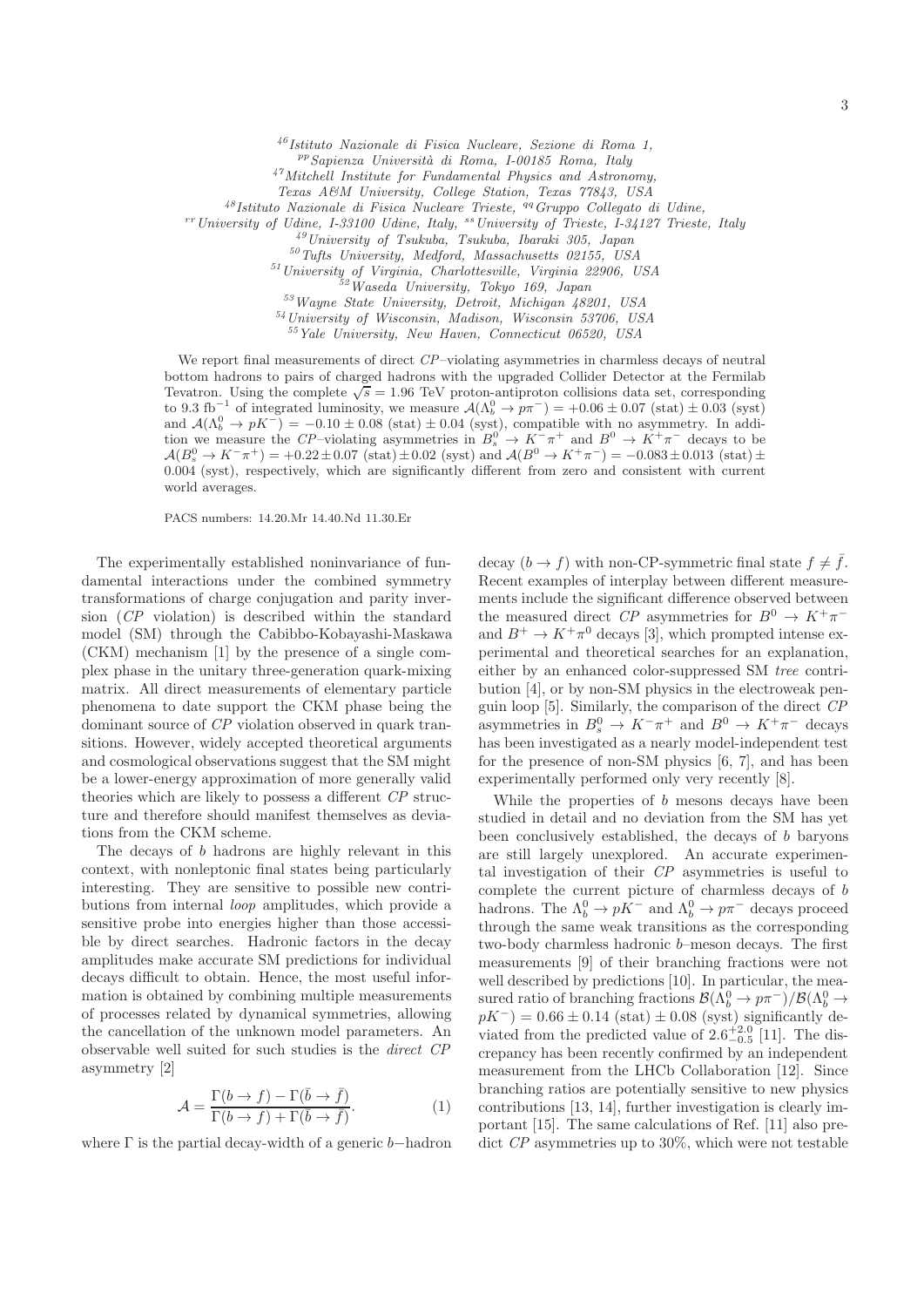<sup>46</sup>Istituto Nazionale di Fisica Nucleare, Sezione di Roma 1,

ppSapienza Universit`a di Roma, I-00185 Roma, Italy

<sup>47</sup>Mitchell Institute for Fundamental Physics and Astronomy,

Texas A&M University, College Station, Texas 77843, USA<br>
<sup>48</sup>Istituto Nazionale di Fisica Nucleare Trieste, <sup>49</sup> Gruppo Collegato di Udine,

<sup>rr</sup> University of Udine, I-33100 Udine, Italy, <sup>ss</sup>University of Trieste, I-34127 Trieste, Italy<br><sup>49</sup> University of Tsukuba, Tsukuba, Ibaraki 305, Japan

 $$^{50}\rm{Tufts}$  University, Medford, Massachusetts 02155, USA $$^{51}\rm{University}$  of Virginia, Charlottesville, Virginia 22906, USA $$^{52}\rm{Waseda}$ University, Tokyo 169, Japan $$^{53}\rm{Wayne}$  State University, Detroit, Michigan 48201, USA

<sup>54</sup>University of Wisconsin, Madison, Wisconsin 53706, USA

<sup>55</sup>Yale University, New Haven, Connecticut 06520, USA

We report final measurements of direct CP–violating asymmetries in charmless decays of neutral bottom hadrons to pairs of charged hadrons with the upgraded Collider Detector at the Fermilab Tevatron. Using the complete  $\sqrt{s} = 1.96$  TeV proton-antiproton collisions data set, corresponding to 9.3 fb<sup>-1</sup> of integrated luminosity, we measure  $A(\Lambda_b^0 \to p\pi^-) = +0.06 \pm 0.07$  (stat)  $\pm 0.03$  (syst) and  $\mathcal{A}(\Lambda_b^0 \to pK^-) = -0.10 \pm 0.08$  (stat)  $\pm 0.04$  (syst), compatible with no asymmetry. In addition we measure the CP–violating asymmetries in  $B_s^0 \to K^-\pi^+$  and  $B^0 \to K^+\pi^-$  decays to be  $\mathcal{A}(B_s^0 \to K^- \pi^+) = +0.22 \pm 0.07 \text{ (stat)} \pm 0.02 \text{ (syst) and } \mathcal{A}(B^0 \to K^+ \pi^-) = -0.083 \pm 0.013 \text{ (stat)} \pm 0.02 \text{ (syst)}$ 0.004 (syst), respectively, which are significantly different from zero and consistent with current world averages.

PACS numbers: 14.20.Mr 14.40.Nd 11.30.Er

The experimentally established noninvariance of fundamental interactions under the combined symmetry transformations of charge conjugation and parity inversion (CP violation) is described within the standard model (SM) through the Cabibbo-Kobayashi-Maskawa (CKM) mechanism [1] by the presence of a single complex phase in the unitary three-generation quark-mixing matrix. All direct measurements of elementary particle phenomena to date support the CKM phase being the dominant source of CP violation observed in quark transitions. However, widely accepted theoretical arguments and cosmological observations suggest that the SM might be a lower-energy approximation of more generally valid theories which are likely to possess a different CP structure and therefore should manifest themselves as deviations from the CKM scheme.

The decays of b hadrons are highly relevant in this context, with nonleptonic final states being particularly interesting. They are sensitive to possible new contributions from internal loop amplitudes, which provide a sensitive probe into energies higher than those accessible by direct searches. Hadronic factors in the decay amplitudes make accurate SM predictions for individual decays difficult to obtain. Hence, the most useful information is obtained by combining multiple measurements of processes related by dynamical symmetries, allowing the cancellation of the unknown model parameters. An observable well suited for such studies is the direct CP asymmetry [2]

$$
\mathcal{A} = \frac{\Gamma(b \to f) - \Gamma(\bar{b} \to \bar{f})}{\Gamma(b \to f) + \Gamma(\bar{b} \to \bar{f})}.
$$
 (1)

where  $\Gamma$  is the partial decay-width of a generic b–hadron

decay  $(b \to f)$  with non-CP-symmetric final state  $f \neq \overline{f}$ . Recent examples of interplay between different measurements include the significant difference observed between the measured direct CP asymmetries for  $B^0 \to K^+\pi^$ and  $B^+ \to K^+\pi^0$  decays [3], which prompted intense experimental and theoretical searches for an explanation, either by an enhanced color-suppressed SM tree contribution [4], or by non-SM physics in the electroweak penguin loop [5]. Similarly, the comparison of the direct CP asymmetries in  $B_s^0 \to K^-\pi^+$  and  $B^0 \to K^+\pi^-$  decays has been investigated as a nearly model-independent test for the presence of non-SM physics [6, 7], and has been experimentally performed only very recently [8].

While the properties of b mesons decays have been studied in detail and no deviation from the SM has yet been conclusively established, the decays of b baryons are still largely unexplored. An accurate experimental investigation of their CP asymmetries is useful to complete the current picture of charmless decays of b hadrons. The  $\Lambda_b^0 \to pK^-$  and  $\Lambda_b^0 \to p\pi^-$  decays proceed through the same weak transitions as the corresponding two-body charmless hadronic b–meson decays. The first measurements [9] of their branching fractions were not well described by predictions [10]. In particular, the measured ratio of branching fractions  $\mathcal{B}(\Lambda_b^0 \to p\pi^-)/\mathcal{B}(\Lambda_b^0 \to$  $pK^-$ ) = 0.66 ± 0.14 (stat) ± 0.08 (syst) significantly deviated from the predicted value of  $2.6_{-0.5}^{+2.0}$  [11]. The discrepancy has been recently confirmed by an independent measurement from the LHCb Collaboration [12]. Since branching ratios are potentially sensitive to new physics contributions [13, 14], further investigation is clearly important [15]. The same calculations of Ref. [11] also predict CP asymmetries up to 30%, which were not testable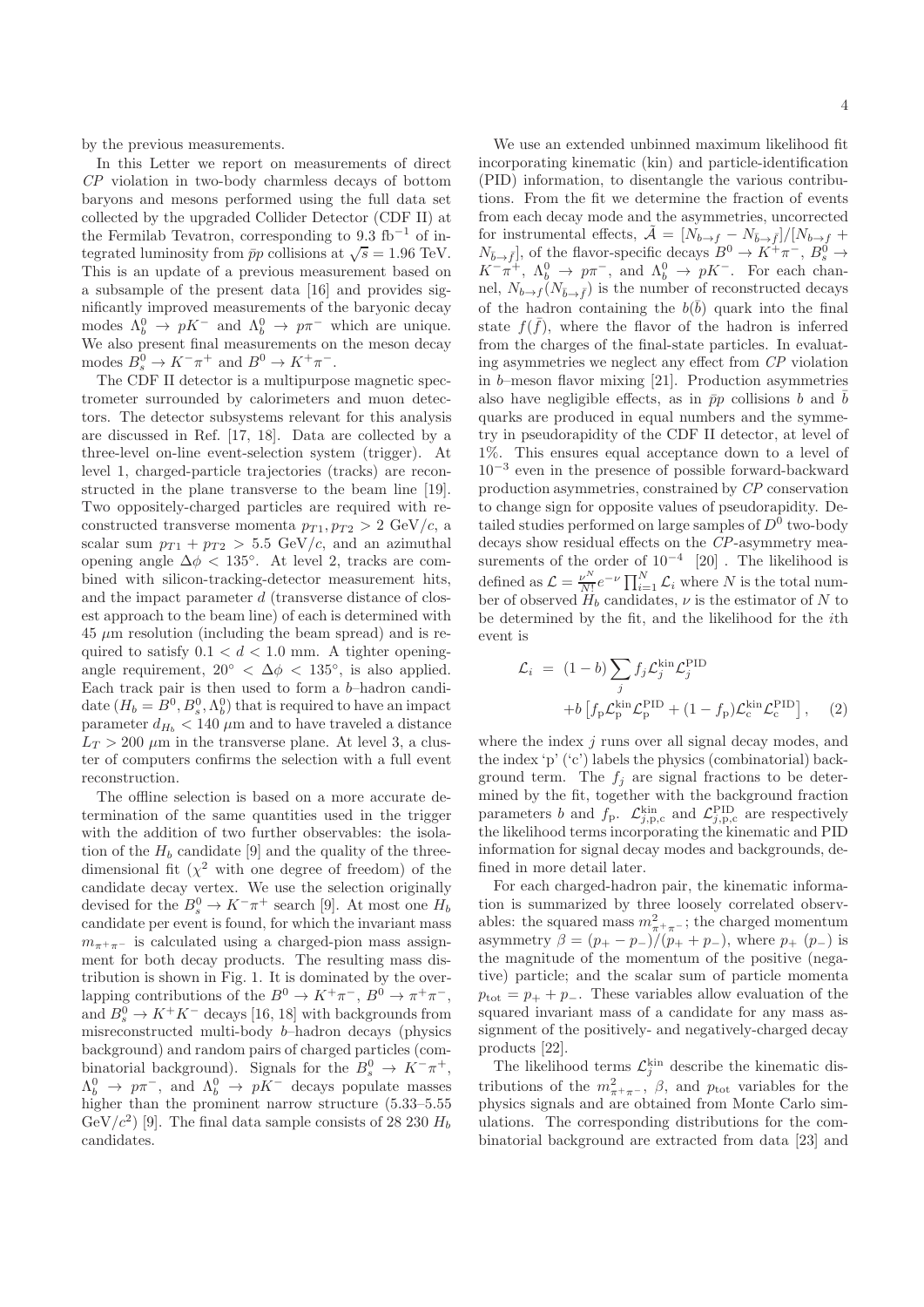by the previous measurements.

In this Letter we report on measurements of direct CP violation in two-body charmless decays of bottom baryons and mesons performed using the full data set collected by the upgraded Collider Detector (CDF II) at the Fermilab Tevatron, corresponding to  $9.3 \text{ fb}^{-1}$  of integrated luminosity from  $\bar{p}p$  collisions at  $\sqrt{s} = 1.96$  TeV. This is an update of a previous measurement based on a subsample of the present data [16] and provides significantly improved measurements of the baryonic decay modes  $\Lambda_b^0 \to pK^-$  and  $\Lambda_b^0 \to p\pi^-$  which are unique. We also present final measurements on the meson decay modes  $B_s^0 \to K^-\pi^+$  and  $B^0 \to K^+\pi^-$ .

The CDF II detector is a multipurpose magnetic spectrometer surrounded by calorimeters and muon detectors. The detector subsystems relevant for this analysis are discussed in Ref. [17, 18]. Data are collected by a three-level on-line event-selection system (trigger). At level 1, charged-particle trajectories (tracks) are reconstructed in the plane transverse to the beam line [19]. Two oppositely-charged particles are required with reconstructed transverse momenta  $p_{T1}, p_{T2} > 2 \text{ GeV}/c$ , a scalar sum  $p_{T1} + p_{T2} > 5.5$  GeV/c, and an azimuthal opening angle  $\Delta \phi$  < 135°. At level 2, tracks are combined with silicon-tracking-detector measurement hits, and the impact parameter d (transverse distance of closest approach to the beam line) of each is determined with  $45 \mu m$  resolution (including the beam spread) and is required to satisfy  $0.1 < d < 1.0$  mm. A tighter openingangle requirement,  $20° < \Delta \phi < 135°$ , is also applied. Each track pair is then used to form a b–hadron candidate  $(H_b = B^0, B_s^0, \Lambda_b^0)$  that is required to have an impact parameter  $d_{H_b} < 140 \mu m$  and to have traveled a distance  $L_T > 200 \mu m$  in the transverse plane. At level 3, a cluster of computers confirms the selection with a full event reconstruction.

The offline selection is based on a more accurate determination of the same quantities used in the trigger with the addition of two further observables: the isolation of the  $H_b$  candidate [9] and the quality of the threedimensional fit  $(\chi^2$  with one degree of freedom) of the candidate decay vertex. We use the selection originally devised for the  $B_s^0 \to K^-\pi^+$  search [9]. At most one  $H_b$ candidate per event is found, for which the invariant mass  $m_{\pi^+\pi^-}$  is calculated using a charged-pion mass assignment for both decay products. The resulting mass distribution is shown in Fig. 1. It is dominated by the overlapping contributions of the  $B^0 \to K^+\pi^-$ ,  $B^0 \to \pi^+\pi^-$ , and  $B_s^0 \to K^+K^-$  decays [16, 18] with backgrounds from misreconstructed multi-body b–hadron decays (physics background) and random pairs of charged particles (combinatorial background). Signals for the  $B_s^0 \to K^-\pi^+,$  $\Lambda_b^0 \rightarrow p\pi^-$ , and  $\Lambda_b^0 \rightarrow pK^-$  decays populate masses higher than the prominent narrow structure  $(5.33-5.55)$ GeV/ $c^2$ ) [9]. The final data sample consists of 28 230  $H_b$ candidates.

We use an extended unbinned maximum likelihood fit incorporating kinematic (kin) and particle-identification (PID) information, to disentangle the various contributions. From the fit we determine the fraction of events from each decay mode and the asymmetries, uncorrected for instrumental effects,  $\tilde{A} = [N_{b \to f} - N_{\bar{b} \to \bar{f}}]/[N_{b \to f} +$  $N_{\bar{b}\to \bar{f}}$ , of the flavor-specific decays  $B^0 \to K^+\pi^-$ ,  $B^0_s \to K^-\pi^+$ ,  $\Lambda_b^0 \to p\pi^-$ , and  $\Lambda_b^0 \to pK^-$ . For each channel,  $N_{b\rightarrow f}(N_{\bar{b}\rightarrow \bar{f}})$  is the number of reconstructed decays of the hadron containing the  $b(\bar{b})$  quark into the final state  $f(\bar{f})$ , where the flavor of the hadron is inferred from the charges of the final-state particles. In evaluating asymmetries we neglect any effect from CP violation in b–meson flavor mixing [21]. Production asymmetries also have negligible effects, as in  $\bar{p}p$  collisions b and  $\bar{b}$ quarks are produced in equal numbers and the symmetry in pseudorapidity of the CDF II detector, at level of 1%. This ensures equal acceptance down to a level of 10−<sup>3</sup> even in the presence of possible forward-backward production asymmetries, constrained by CP conservation to change sign for opposite values of pseudorapidity. Detailed studies performed on large samples of  $D^0$  two-body decays show residual effects on the CP-asymmetry measurements of the order of  $10^{-4}$  [20]. The likelihood is defined as  $\mathcal{L} = \frac{\nu^N}{N!} e^{-\nu} \prod_{i=1}^N \mathcal{L}_i$  where N is the total number of observed  $H_b$  candidates,  $\nu$  is the estimator of N to be determined by the fit, and the likelihood for the ith event is

$$
\mathcal{L}_i = (1 - b) \sum_j f_j \mathcal{L}_j^{\text{kin}} \mathcal{L}_j^{\text{PID}} + b \left[ f_p \mathcal{L}_p^{\text{kin}} \mathcal{L}_p^{\text{PID}} + (1 - f_p) \mathcal{L}_c^{\text{kin}} \mathcal{L}_c^{\text{PID}} \right],
$$
 (2)

where the index j runs over all signal decay modes, and the index 'p' ('c') labels the physics (combinatorial) background term. The  $f_i$  are signal fractions to be determined by the fit, together with the background fraction parameters b and  $f_{\rm p}$ .  $\mathcal{L}_{j,\rm p,c}^{\rm kin}$  and  $\mathcal{L}_{j,\rm p,c}^{\rm PID}$  are respectively the likelihood terms incorporating the kinematic and PID information for signal decay modes and backgrounds, defined in more detail later.

For each charged-hadron pair, the kinematic information is summarized by three loosely correlated observables: the squared mass  $m_{\pi^+\pi^-}^2$ ; the charged momentum asymmetry  $\beta = (p_{+} - p_{-})/(p_{+} + p_{-})$ , where  $p_{+} (p_{-})$  is the magnitude of the momentum of the positive (negative) particle; and the scalar sum of particle momenta  $p_{\text{tot}} = p_+ + p_-.$  These variables allow evaluation of the squared invariant mass of a candidate for any mass assignment of the positively- and negatively-charged decay products [22].

The likelihood terms  $\mathcal{L}^{\text{kin}}_j$  describe the kinematic distributions of the  $m_{\pi^+\pi^-}^2$ ,  $\beta$ , and  $p_{\text{tot}}$  variables for the physics signals and are obtained from Monte Carlo simulations. The corresponding distributions for the combinatorial background are extracted from data [23] and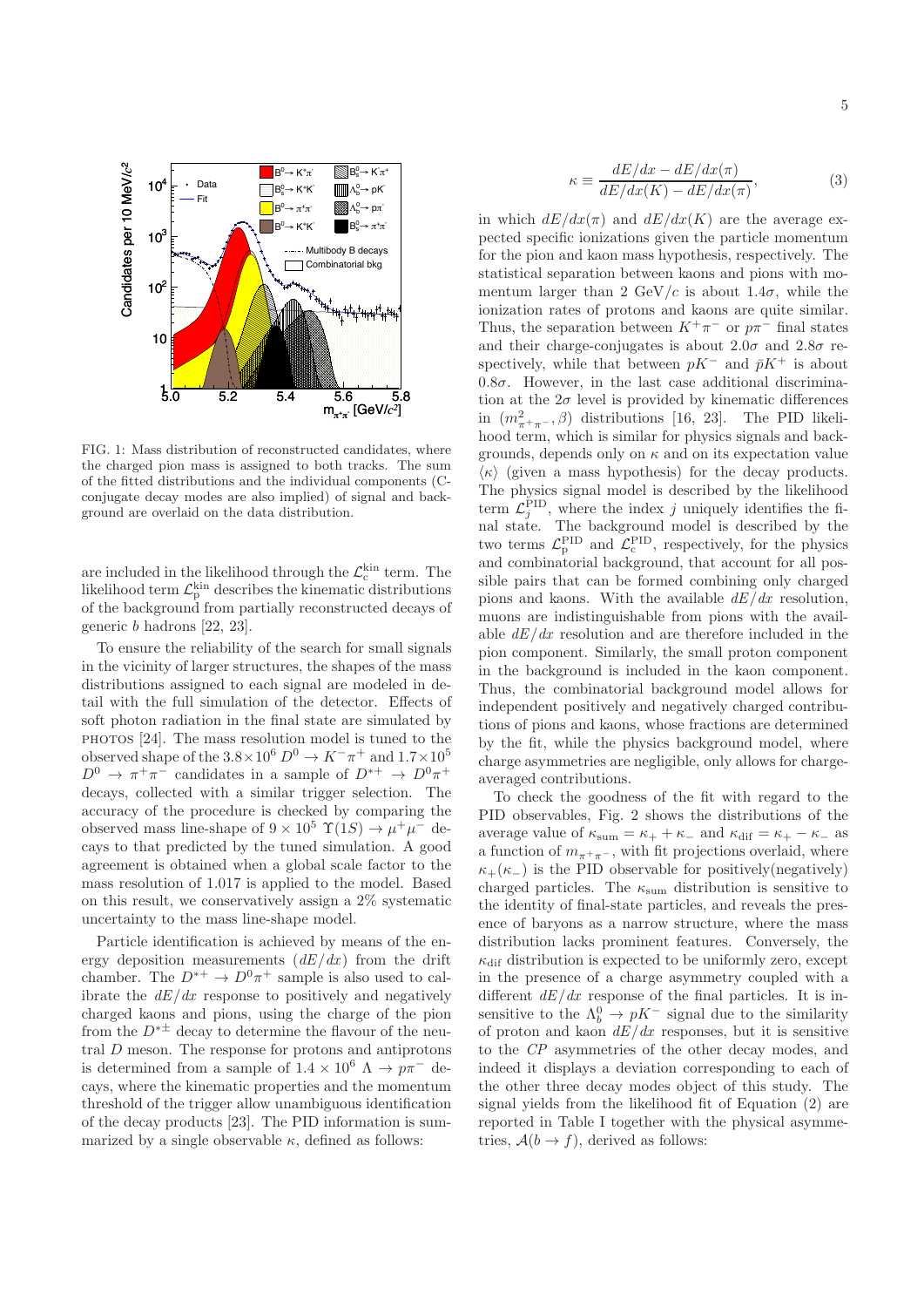

FIG. 1: Mass distribution of reconstructed candidates, where the charged pion mass is assigned to both tracks. The sum of the fitted distributions and the individual components (Cconjugate decay modes are also implied) of signal and background are overlaid on the data distribution.

are included in the likelihood through the  $\mathcal{L}_c^{\text{kin}}$  term. The likelihood term  $\mathcal{L}_{p}^{\text{kin}}$  describes the kinematic distributions of the background from partially reconstructed decays of generic b hadrons [22, 23].

To ensure the reliability of the search for small signals in the vicinity of larger structures, the shapes of the mass distributions assigned to each signal are modeled in detail with the full simulation of the detector. Effects of soft photon radiation in the final state are simulated by photos [24]. The mass resolution model is tuned to the observed shape of the  $3.8\times10^6$   $D^0 \rightarrow K^-\pi^+$  and  $1.7\times10^5$  $D^0 \to \pi^+\pi^-$  candidates in a sample of  $D^{*+} \to D^0\pi^+$ decays, collected with a similar trigger selection. The accuracy of the procedure is checked by comparing the observed mass line-shape of  $9 \times 10^5$   $\Upsilon(1S) \rightarrow \mu^+ \mu^-$  decays to that predicted by the tuned simulation. A good agreement is obtained when a global scale factor to the mass resolution of 1.017 is applied to the model. Based on this result, we conservatively assign a 2% systematic uncertainty to the mass line-shape model.

Particle identification is achieved by means of the energy deposition measurements  $(dE/dx)$  from the drift chamber. The  $D^{*+} \to D^0 \pi^+$  sample is also used to calibrate the  $dE/dx$  response to positively and negatively charged kaons and pions, using the charge of the pion from the  $D^{* \pm}$  decay to determine the flavour of the neutral D meson. The response for protons and antiprotons is determined from a sample of  $1.4 \times 10^6$   $\Lambda \rightarrow p\pi^-$  decays, where the kinematic properties and the momentum threshold of the trigger allow unambiguous identification of the decay products [23]. The PID information is summarized by a single observable  $\kappa$ , defined as follows:

$$
\kappa \equiv \frac{dE/dx - dE/dx(\pi)}{dE/dx(K) - dE/dx(\pi)},\tag{3}
$$

in which  $dE/dx(\pi)$  and  $dE/dx(K)$  are the average expected specific ionizations given the particle momentum for the pion and kaon mass hypothesis, respectively. The statistical separation between kaons and pions with momentum larger than 2 GeV/c is about 1.4 $\sigma$ , while the ionization rates of protons and kaons are quite similar. Thus, the separation between  $K^+\pi^-$  or  $p\pi^-$  final states and their charge-conjugates is about  $2.0\sigma$  and  $2.8\sigma$  respectively, while that between  $pK^-$  and  $\bar{p}K^+$  is about  $0.8\sigma$ . However, in the last case additional discrimination at the  $2\sigma$  level is provided by kinematic differences in  $(m_{\pi^+\pi^-}^2, \beta)$  distributions [16, 23]. The PID likelihood term, which is similar for physics signals and backgrounds, depends only on  $\kappa$  and on its expectation value  $\langle \kappa \rangle$  (given a mass hypothesis) for the decay products. The physics signal model is described by the likelihood term  $\mathcal{L}^{\text{PID}}_j$ , where the index j uniquely identifies the final state. The background model is described by the two terms  $\mathcal{L}_{\rm p}^{\rm PID}$  and  $\mathcal{L}_{\rm c}^{\rm PID}$ , respectively, for the physics and combinatorial background, that account for all possible pairs that can be formed combining only charged pions and kaons. With the available  $dE/dx$  resolution, muons are indistinguishable from pions with the available  $dE/dx$  resolution and are therefore included in the pion component. Similarly, the small proton component in the background is included in the kaon component. Thus, the combinatorial background model allows for independent positively and negatively charged contributions of pions and kaons, whose fractions are determined by the fit, while the physics background model, where charge asymmetries are negligible, only allows for chargeaveraged contributions.

To check the goodness of the fit with regard to the PID observables, Fig. 2 shows the distributions of the average value of  $\kappa_{\text{sum}} = \kappa_+ + \kappa_-$  and  $\kappa_{\text{dif}} = \kappa_+ - \kappa_-$  as a function of  $m_{\pi^+\pi^-}$ , with fit projections overlaid, where  $\kappa_{+}(\kappa_{-})$  is the PID observable for positively(negatively) charged particles. The  $\kappa_{\text{sum}}$  distribution is sensitive to the identity of final-state particles, and reveals the presence of baryons as a narrow structure, where the mass distribution lacks prominent features. Conversely, the  $\kappa_{\text{dif}}$  distribution is expected to be uniformly zero, except in the presence of a charge asymmetry coupled with a different  $dE/dx$  response of the final particles. It is insensitive to the  $\Lambda_b^0 \to pK^-$  signal due to the similarity of proton and kaon  $dE/dx$  responses, but it is sensitive to the CP asymmetries of the other decay modes, and indeed it displays a deviation corresponding to each of the other three decay modes object of this study. The signal yields from the likelihood fit of Equation (2) are reported in Table I together with the physical asymmetries,  $A(b \rightarrow f)$ , derived as follows: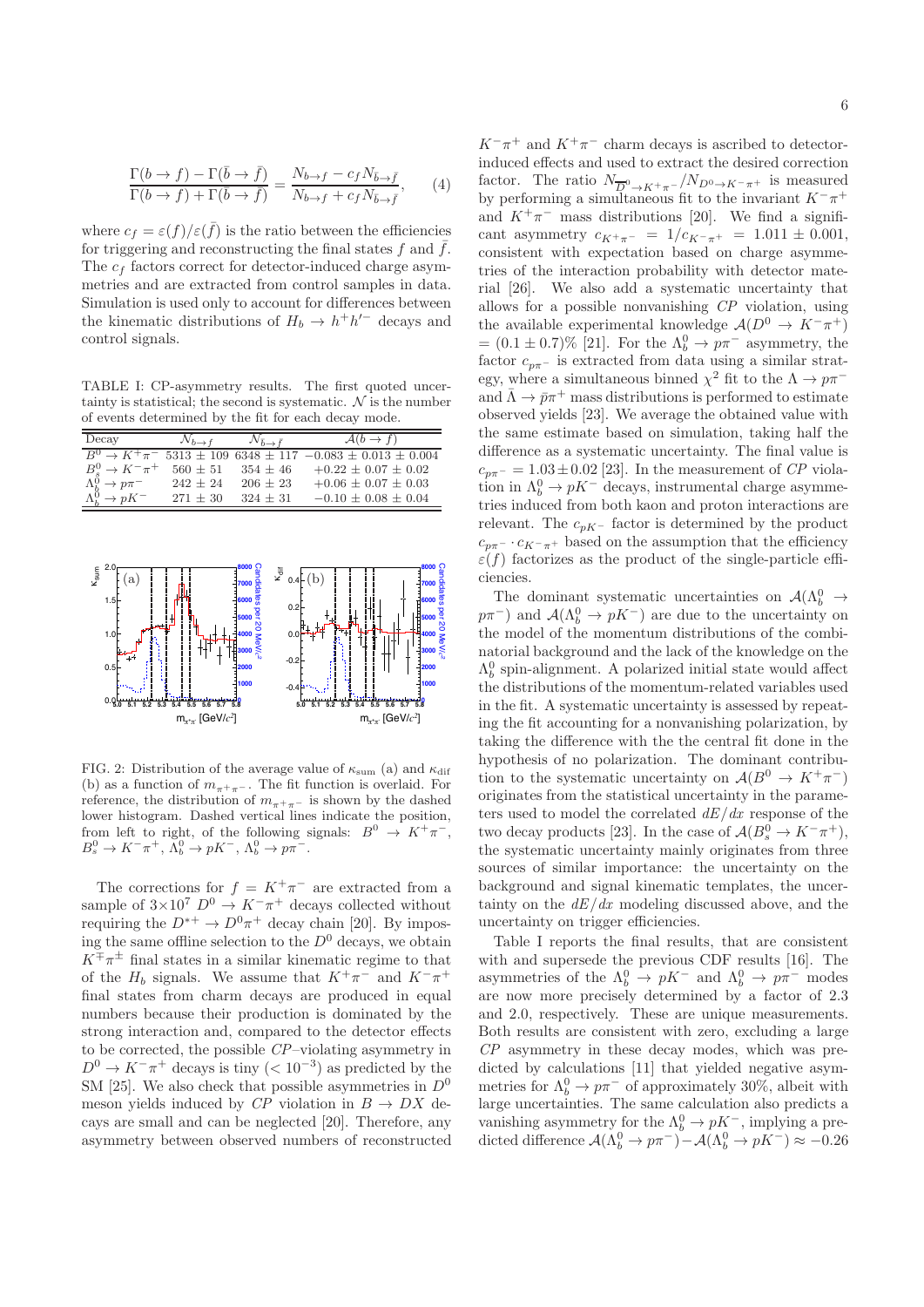$$
\frac{\Gamma(b \to f) - \Gamma(\bar{b} \to \bar{f})}{\Gamma(b \to f) + \Gamma(\bar{b} \to \bar{f})} = \frac{N_{b \to f} - c_f N_{\bar{b} \to \bar{f}}}{N_{b \to f} + c_f N_{\bar{b} \to \bar{f}}},\qquad(4)
$$

where  $c_f = \varepsilon(f)/\varepsilon(\bar{f})$  is the ratio between the efficiencies for triggering and reconstructing the final states f and  $\bar{f}$ . The  $c_f$  factors correct for detector-induced charge asymmetries and are extracted from control samples in data. Simulation is used only to account for differences between the kinematic distributions of  $H_b \to h^+h'^-$  decays and control signals.

TABLE I: CP-asymmetry results. The first quoted uncertainty is statistical; the second is systematic.  $N$  is the number of events determined by the fit for each decay mode.

| Decay                                                                                          | $\mathcal{N}_{b\to f}$ | $\mathcal{N}_{\bar{b}\rightarrow \bar{f}}$ | $\mathcal{A}(b \to f)$                                       |
|------------------------------------------------------------------------------------------------|------------------------|--------------------------------------------|--------------------------------------------------------------|
| $B^0 \rightarrow \overline{K^+ \pi^-}$                                                         |                        |                                            | $5313 \pm 109$ 6348 $\pm$ 117 -0.083 $\pm$ 0.013 $\pm$ 0.004 |
|                                                                                                | $560 \pm 51$           | $354 + 46$                                 | $+0.22 \pm 0.07 \pm 0.02$                                    |
|                                                                                                | $242 + 24$             | $206 + 23$                                 | $+0.06 \pm 0.07 \pm 0.03$                                    |
| $\begin{array}{l} B^0_s\to K^-\pi^+\\ \Lambda^0_b\to p\pi^-\\ \Lambda^0_b\to pK^- \end{array}$ | $271 + 30$             | $324 + 31$                                 | $-0.10 \pm 0.08 \pm 0.04$                                    |



FIG. 2: Distribution of the average value of  $\kappa_{\text{sum}}$  (a) and  $\kappa_{\text{diff}}$ (b) as a function of  $m_{\pi^+\pi^-}$ . The fit function is overlaid. For reference, the distribution of  $m_{\pi^+\pi^-}$  is shown by the dashed lower histogram. Dashed vertical lines indicate the position, from left to right, of the following signals:  $B^0 \to K^+\pi^-$ ,  $B_s^0 \to K^- \pi^+$ ,  $\Lambda_b^0 \to pK^-$ ,  $\Lambda_b^0 \to p\pi^-$ .

The corrections for  $f = K^+\pi^-$  are extracted from a sample of  $3\times10^7$   $D^0 \rightarrow K^-\pi^+$  decays collected without requiring the  $D^{*+} \to D^0 \pi^+$  decay chain [20]. By imposing the same offline selection to the  $D^0$  decays, we obtain  $K^{\pm}\pi^{\pm}$  final states in a similar kinematic regime to that of the  $H_b$  signals. We assume that  $K^+\pi^-$  and  $K^-\pi^+$ final states from charm decays are produced in equal numbers because their production is dominated by the strong interaction and, compared to the detector effects to be corrected, the possible CP–violating asymmetry in  $D^0 \to K^-\pi^+$  decays is tiny  $(< 10^{-3}$ ) as predicted by the SM [25]. We also check that possible asymmetries in  $D^0$ meson yields induced by  $\mathbb{CP}$  violation in  $B \to DX$  decays are small and can be neglected [20]. Therefore, any asymmetry between observed numbers of reconstructed  $K^-\pi^+$  and  $K^+\pi^-$  charm decays is ascribed to detectorinduced effects and used to extract the desired correction factor. The ratio  $N_{\overline{D}^0 \to K^+\pi^-}/N_{D^0 \to K^-\pi^+}$  is measured by performing a simultaneous fit to the invariant  $K^-\pi^+$ and  $K^+\pi^-$  mass distributions [20]. We find a significant asymmetry  $c_{K^+\pi^-} = 1/c_{K^-\pi^+} = 1.011 \pm 0.001$ , consistent with expectation based on charge asymmetries of the interaction probability with detector material [26]. We also add a systematic uncertainty that allows for a possible nonvanishing CP violation, using the available experimental knowledge  $A(D^0 \rightarrow K^-\pi^+)$ =  $(0.1 \pm 0.7)$ % [21]. For the  $\Lambda_b^0 \to p\pi^-$  asymmetry, the factor  $c_{p\pi-}$  is extracted from data using a similar strategy, where a simultaneous binned  $\chi^2$  fit to the  $\Lambda \to p\pi^$ and  $\bar{\Lambda} \to \bar{p}\pi^+$  mass distributions is performed to estimate observed yields [23]. We average the obtained value with the same estimate based on simulation, taking half the difference as a systematic uncertainty. The final value is  $c_{n\pi^-} = 1.03 \pm 0.02$  [23]. In the measurement of CP violation in  $\Lambda_b^0 \to pK^-$  decays, instrumental charge asymmetries induced from both kaon and proton interactions are relevant. The  $c_{pK}$ - factor is determined by the product  $c_{p\pi}$  ·  $c_{K^-\pi^+}$  based on the assumption that the efficiency  $\varepsilon(f)$  factorizes as the product of the single-particle efficiencies.

The dominant systematic uncertainties on  $\mathcal{A}(\Lambda_b^0 \to$  $p\pi^-$ ) and  $\mathcal{A}(\Lambda_b^0 \to pK^-)$  are due to the uncertainty on the model of the momentum distributions of the combinatorial background and the lack of the knowledge on the  $\Lambda_b^0$  spin-alignment. A polarized initial state would affect the distributions of the momentum-related variables used in the fit. A systematic uncertainty is assessed by repeating the fit accounting for a nonvanishing polarization, by taking the difference with the the central fit done in the hypothesis of no polarization. The dominant contribution to the systematic uncertainty on  $A(B^0 \to K^+\pi^-)$ originates from the statistical uncertainty in the parameters used to model the correlated  $dE/dx$  response of the two decay products [23]. In the case of  $\mathcal{A}(B_s^0 \to K^-\pi^+)$ , the systematic uncertainty mainly originates from three sources of similar importance: the uncertainty on the background and signal kinematic templates, the uncertainty on the  $dE/dx$  modeling discussed above, and the uncertainty on trigger efficiencies.

Table I reports the final results, that are consistent with and supersede the previous CDF results [16]. The asymmetries of the  $\Lambda_b^0 \to pK^-$  and  $\Lambda_b^0 \to p\pi^-$  modes are now more precisely determined by a factor of 2.3 and 2.0, respectively. These are unique measurements. Both results are consistent with zero, excluding a large  $\mathbb{CP}$  asymmetry in these decay modes, which was predicted by calculations [11] that yielded negative asymmetries for  $\Lambda_b^0 \to p\pi^-$  of approximately 30%, albeit with large uncertainties. The same calculation also predicts a vanishing asymmetry for the  $\Lambda_b^0 \to pK^-$ , implying a predicted difference  $\mathcal{A}(\Lambda_b^0 \to p\pi^-) - \mathcal{A}(\Lambda_b^0 \to pK^-) \approx -0.26$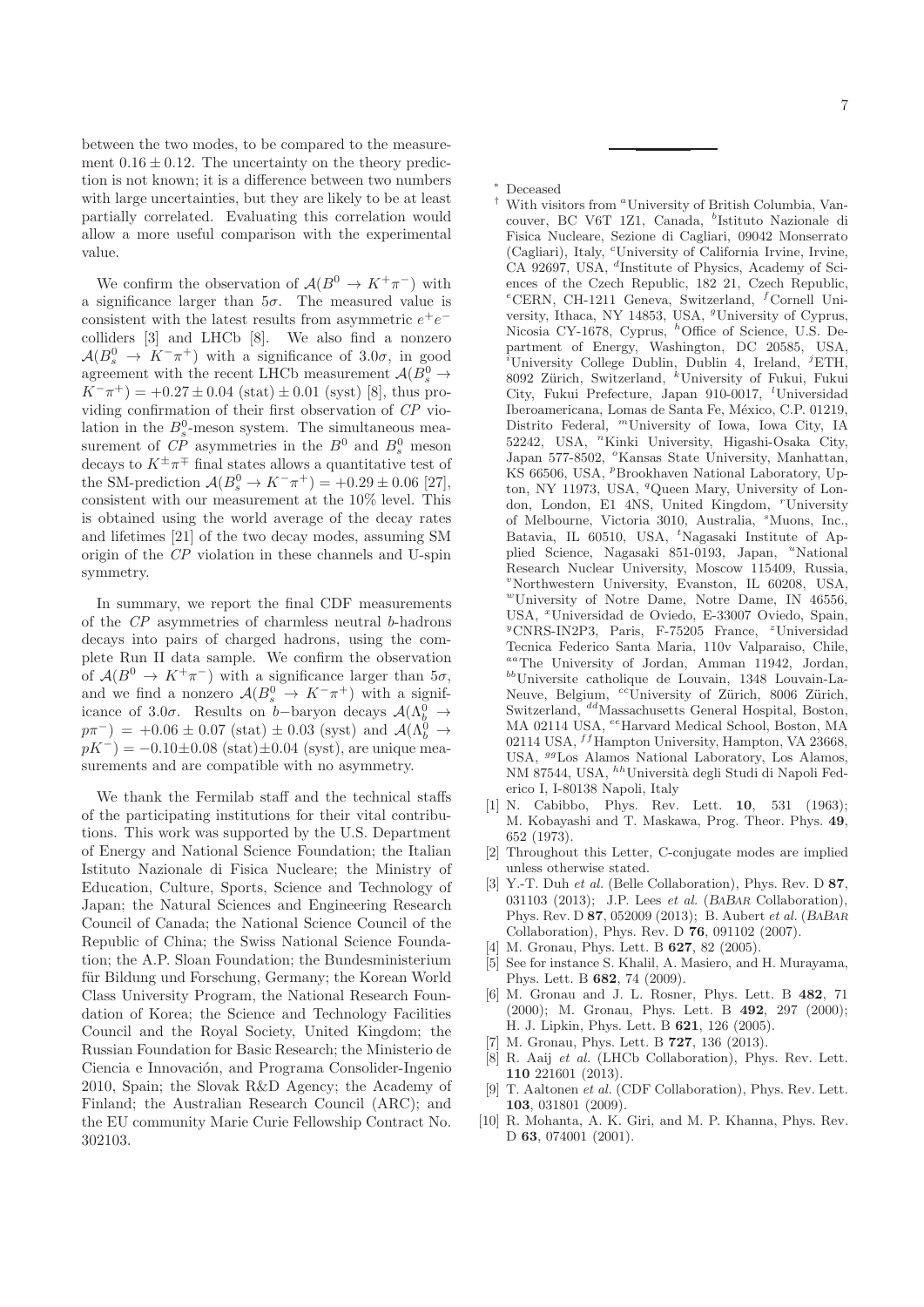between the two modes, to be compared to the measurement  $0.16 \pm 0.12$ . The uncertainty on the theory prediction is not known; it is a difference between two numbers with large uncertainties, but they are likely to be at least partially correlated. Evaluating this correlation would allow a more useful comparison with the experimental value.

We confirm the observation of  $A(B^0 \to K^+\pi^-)$  with a significance larger than  $5\sigma$ . The measured value is consistent with the latest results from asymmetric  $e^+e^$ colliders [3] and LHCb [8]. We also find a nonzero  $\mathcal{A}(B_s^0 \to K^-\pi^+)$  with a significance of 3.0 $\sigma$ , in good agreement with the recent LHCb measurement  $\mathcal{A}(B_s^0 \to$  $K^-\pi^+$ ) = +0.27 ± 0.04 (stat) ± 0.01 (syst) [8], thus providing confirmation of their first observation of CP violation in the  $B_s^0$ -meson system. The simultaneous measurement of  $\mathbb{CP}$  asymmetries in the  $B^0$  and  $B^0_s$  meson decays to  $K^{\pm}\pi^{\mp}$  final states allows a quantitative test of the SM-prediction  $\mathcal{A}(B_s^0 \to K^- \pi^+) = +0.29 \pm 0.06$  [27], consistent with our measurement at the 10% level. This is obtained using the world average of the decay rates and lifetimes [21] of the two decay modes, assuming SM origin of the CP violation in these channels and U-spin symmetry.

In summary, we report the final CDF measurements of the CP asymmetries of charmless neutral b-hadrons decays into pairs of charged hadrons, using the complete Run II data sample. We confirm the observation of  $A(B^0 \to K^+\pi^-)$  with a significance larger than  $5\sigma$ , and we find a nonzero  $\mathcal{A}(B_s^0 \to K^-\pi^+)$  with a significance of 3.0 $\sigma$ . Results on b−baryon decays  $\mathcal{A}(\Lambda_b^0 \to p\pi^-)$  = +0.06 ± 0.07 (stat) ± 0.03 (syst) and  $\mathcal{A}(\Lambda_b^0 \to$  $pK^{-}$ ) = -0.10±0.08 (stat)±0.04 (syst), are unique measurements and are compatible with no asymmetry.

We thank the Fermilab staff and the technical staffs of the participating institutions for their vital contributions. This work was supported by the U.S. Department of Energy and National Science Foundation; the Italian Istituto Nazionale di Fisica Nucleare; the Ministry of Education, Culture, Sports, Science and Technology of Japan; the Natural Sciences and Engineering Research Council of Canada; the National Science Council of the Republic of China; the Swiss National Science Foundation; the A.P. Sloan Foundation; the Bundesministerium für Bildung und Forschung, Germany; the Korean World Class University Program, the National Research Foundation of Korea; the Science and Technology Facilities Council and the Royal Society, United Kingdom; the Russian Foundation for Basic Research; the Ministerio de Ciencia e Innovación, and Programa Consolider-Ingenio 2010, Spain; the Slovak R&D Agency; the Academy of Finland; the Australian Research Council (ARC); and the EU community Marie Curie Fellowship Contract No. 302103.

 $*$  Deceased<br> $*$  With  $\ldots$ 

- With visitors from <sup>a</sup>University of British Columbia, Vancouver, BC V6T 1Z1, Canada, <sup>b</sup>Istituto Nazionale di Fisica Nucleare, Sezione di Cagliari, 09042 Monserrato (Cagliari), Italy, <sup>c</sup>University of California Irvine, Irvine, CA 92697, USA, <sup>d</sup>Institute of Physics, Academy of Sciences of the Czech Republic, 182 21, Czech Republic,  ${}^e$ CERN, CH-1211 Geneva, Switzerland, <sup>f</sup>Cornell University, Ithaca, NY 14853, USA, <sup>*g*</sup>University of Cyprus, Nicosia CY-1678, Cyprus, <sup>h</sup>Office of Science, U.S. Department of Energy, Washington, DC 20585, USA, <sup>*i*</sup>University College Dublin, Dublin 4, Ireland, <sup>*j*</sup>ETH, 8092 Zürich, Switzerland, <sup>k</sup>University of Fukui, Fukui City, Fukui Prefecture, Japan 910-0017, <sup>l</sup>Universidad Iberoamericana, Lomas de Santa Fe, México, C.P. 01219, Distrito Federal, <sup>m</sup>University of Iowa, Iowa City, IA 52242, USA, "Kinki University, Higashi-Osaka City, Japan 577-8502, <sup>o</sup>Kansas State University, Manhattan, KS 66506, USA,  ${}^{p}$ Brookhaven National Laboratory, Upton, NY 11973, USA, <sup>q</sup>Queen Mary, University of London, London, E1 4NS, United Kingdom, <sup>r</sup>University of Melbourne, Victoria 3010, Australia, <sup>s</sup>Muons, Inc., Batavia, IL 60510, USA, <sup>*t*</sup>Nagasaki Institute of Applied Science, Nagasaki 851-0193, Japan, "National Research Nuclear University, Moscow 115409, Russia,  $v$ Northwestern University, Evanston, IL 60208, USA, <sup>w</sup>University of Notre Dame, Notre Dame, IN 46556, USA, <sup>x</sup>Universidad de Oviedo, E-33007 Oviedo, Spain, <sup>y</sup>CNRS-IN2P3, Paris, F-75205 France, <sup>z</sup>Universidad Tecnica Federico Santa Maria, 110v Valparaiso, Chile,  $\prescript{aa}{}{\text{The}}$ University of Jordan, Amman 11942, Jordan, $\prescript{bb}{}{\text{Universite}}$ catholique de Louvain, 1348 Louvain-La-Neuve, Belgium, <sup>cc</sup>University of Zürich, 8006 Zürich, Switzerland, <sup>dd</sup>Massachusetts General Hospital, Boston, MA 02114 USA, <sup>ee</sup>Harvard Medical School, Boston, MA 02114 USA,  $^{ff}$ Hampton University, Hampton, VA 23668, USA, <sup>99</sup>Los Alamos National Laboratory, Los Alamos,  $\overline{\mbox{NM}}$ 87544, USA, $^{hh}\mbox{University}$  degli Studi di Napoli Federico I, I-80138 Napoli, Italy
- [1] N. Cabibbo, Phys. Rev. Lett. **10**, 531 (1963); M. Kobayashi and T. Maskawa, Prog. Theor. Phys. 49, 652 (1973).
- [2] Throughout this Letter, C-conjugate modes are implied unless otherwise stated.
- [3] Y.-T. Duh et al. (Belle Collaboration), Phys. Rev. D 87, 031103 (2013); J.P. Lees et al. (BABAR Collaboration), Phys. Rev. D 87, 052009 (2013); B. Aubert et al. (BABAR Collaboration), Phys. Rev. D 76, 091102 (2007).
- [4] M. Gronau, Phys. Lett. B **627**, 82 (2005).
- [5] See for instance S. Khalil, A. Masiero, and H. Murayama, Phys. Lett. B 682, 74 (2009).
- [6] M. Gronau and J. L. Rosner, Phys. Lett. B 482, 71 (2000); M. Gronau, Phys. Lett. B 492, 297 (2000); H. J. Lipkin, Phys. Lett. B 621, 126 (2005).
- [7] M. Gronau, Phys. Lett. B **727**, 136 (2013).
- [8] R. Aaij et al. (LHCb Collaboration), Phys. Rev. Lett. 110 221601 (2013).
- T. Aaltonen et al. (CDF Collaboration), Phys. Rev. Lett. 103, 031801 (2009).
- [10] R. Mohanta, A. K. Giri, and M. P. Khanna, Phys. Rev. D 63, 074001 (2001).